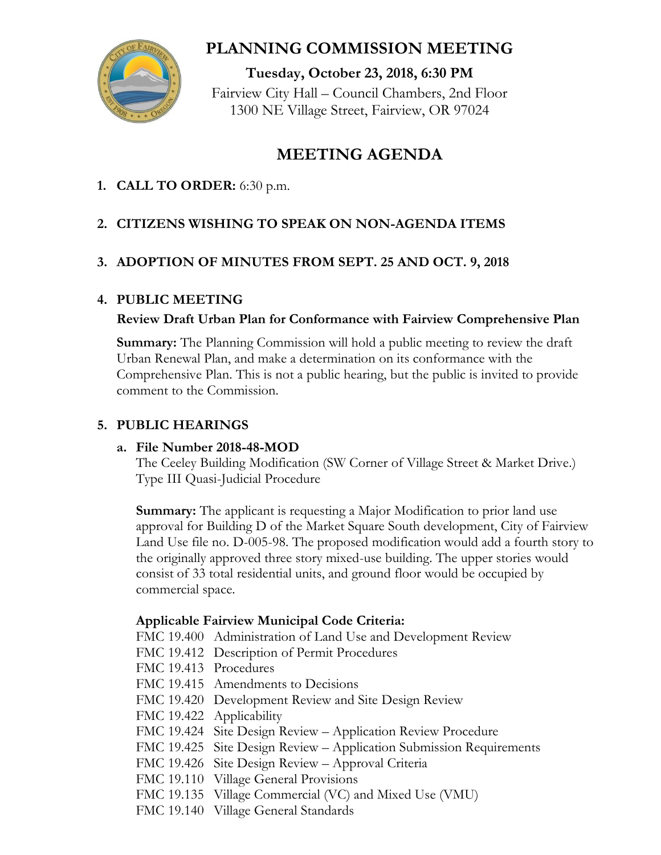

# **PLANNING COMMISSION MEETING**

**Tuesday, October 23, 2018, 6:30 PM** Fairview City Hall – Council Chambers, 2nd Floor 1300 NE Village Street, Fairview, OR 97024

# **MEETING AGENDA**

**1. CALL TO ORDER:** 6:30 p.m.

## **2. CITIZENS WISHING TO SPEAK ON NON-AGENDA ITEMS**

## **3. ADOPTION OF MINUTES FROM SEPT. 25 AND OCT. 9, 2018**

## **4. PUBLIC MEETING**

## **Review Draft Urban Plan for Conformance with Fairview Comprehensive Plan**

**Summary:** The Planning Commission will hold a public meeting to review the draft Urban Renewal Plan, and make a determination on its conformance with the Comprehensive Plan. This is not a public hearing, but the public is invited to provide comment to the Commission.

## **5. PUBLIC HEARINGS**

#### **a. File Number 2018-48-MOD**

The Ceeley Building Modification (SW Corner of Village Street & Market Drive.) Type III Quasi-Judicial Procedure

**Summary:** The applicant is requesting a Major Modification to prior land use approval for Building D of the Market Square South development, City of Fairview Land Use file no. D-005-98. The proposed modification would add a fourth story to the originally approved three story mixed-use building. The upper stories would consist of 33 total residential units, and ground floor would be occupied by commercial space.

## **Applicable Fairview Municipal Code Criteria:**

- FMC 19.400 Administration of Land Use and Development Review
- FMC 19.412 Description of Permit Procedures
- FMC 19.413 Procedures
- FMC 19.415 Amendments to Decisions
- FMC 19.420 Development Review and Site Design Review
- FMC 19.422 Applicability
- FMC 19.424 Site Design Review Application Review Procedure
- FMC 19.425 Site Design Review Application Submission Requirements
- FMC 19.426 Site Design Review Approval Criteria
- FMC 19.110 Village General Provisions
- FMC 19.135 Village Commercial (VC) and Mixed Use (VMU)
- FMC 19.140 Village General Standards